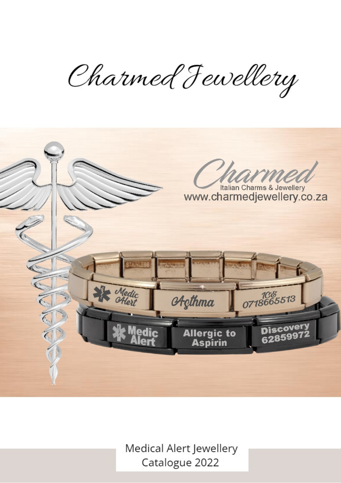Charmed Fewellery



Medical Alert Jewellery Catalogue 2022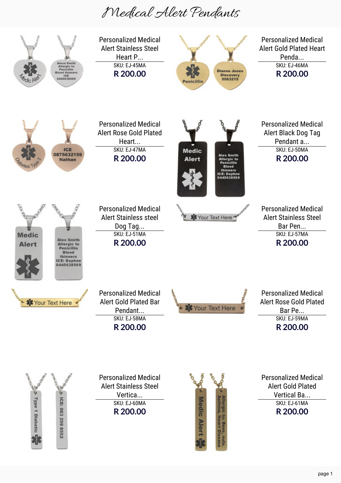## Medical Alert Pendants

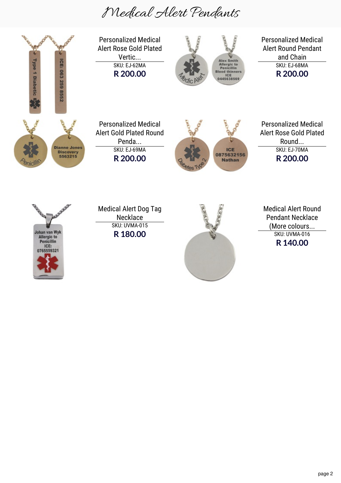## Medical Alert Pendants

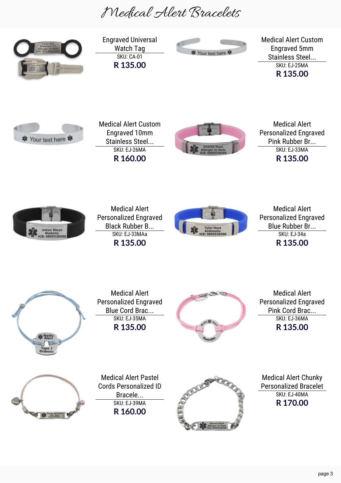Medical Alert Bracelets

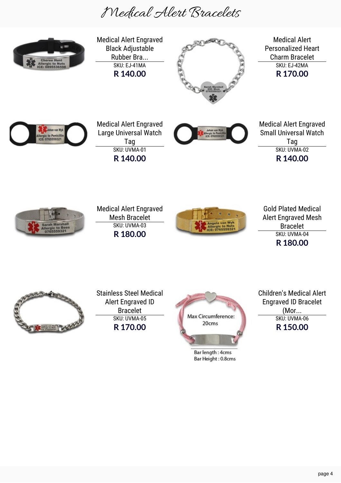Medical Alert Bracelets

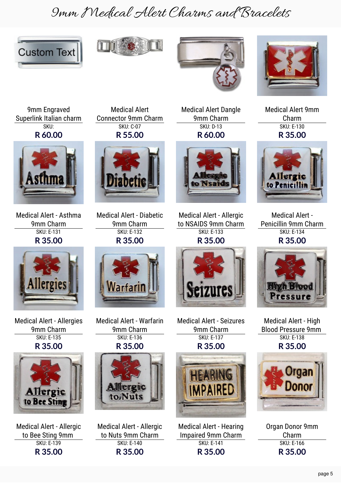## 9mm Medical Alert Charms and Bracelets









9mm Engraved Superlink Italian charm SKU: **R 60.00**



Medical Alert - Asthma 9mm Charm SKU: E-131 **R 35.00**



Medical Alert - Allergies 9mm Charm SKU: E-135 **R 35.00**



Medical Alert - Allergic to Bee Sting 9mm SKU: E-139 **R 35.00**

Medical Alert Connector 9mm Charm SKU: C-07 **R 55.00**



Medical Alert - Diabetic 9mm Charm SKU: E-132 **R 35.00**



Medical Alert - Warfarin 9mm Charm SKU: E-136 **R 35.00**



Medical Alert - Allergic to Nuts 9mm Charm SKU: E-140 **R 35.00**

Medical Alert Dangle 9mm Charm SKU: D-13 **R 60.00**



Medical Alert - Allergic to NSAIDS 9mm Charm SKU: E-133 **R 35.00**



Medical Alert - Seizures 9mm Charm SKU: E-137 **R 35.00**



Medical Alert - Hearing Impaired 9mm Charm SKU: E-141 **R 35.00**

Medical Alert 9mm Charm SKU: E-130

**R 35.00**



Medical Alert - Penicillin 9mm Charm SKU: E-134 **R 35.00**



Medical Alert - High Blood Pressure 9mm SKU: E-138 **R 35.00**



Organ Donor 9mm Charm SKU: E-166 **R 35.00**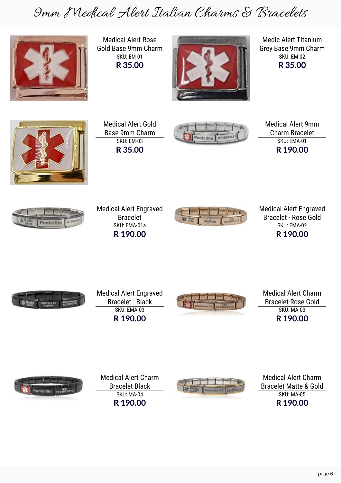9mm Medical Alert Italian Charms & Bracelets

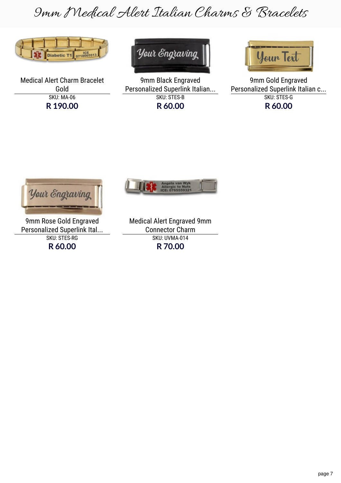9mm Medical Alert Italian Charms & Bracelets

![](_page_7_Picture_1.jpeg)

Medical Alert Charm Bracelet Gold SKU: MA-06 **R 190.00**

![](_page_7_Picture_3.jpeg)

9mm Black Engraved Personalized Superlink Italian... SKU: STES-B **R 60.00**

![](_page_7_Picture_5.jpeg)

9mm Gold Engraved Personalized Superlink Italian c... SKU: STES-G **R 60.00**

![](_page_7_Picture_7.jpeg)

9mm Rose Gold Engraved Personalized Superlink Ital... SKU: STES-RG **R 60.00**

![](_page_7_Picture_9.jpeg)

| <b>Medical Alert Engraved 9mm</b> |  |
|-----------------------------------|--|
| <b>Connector Charm</b>            |  |
| SKU: UVMA-014                     |  |
| R 70.00                           |  |